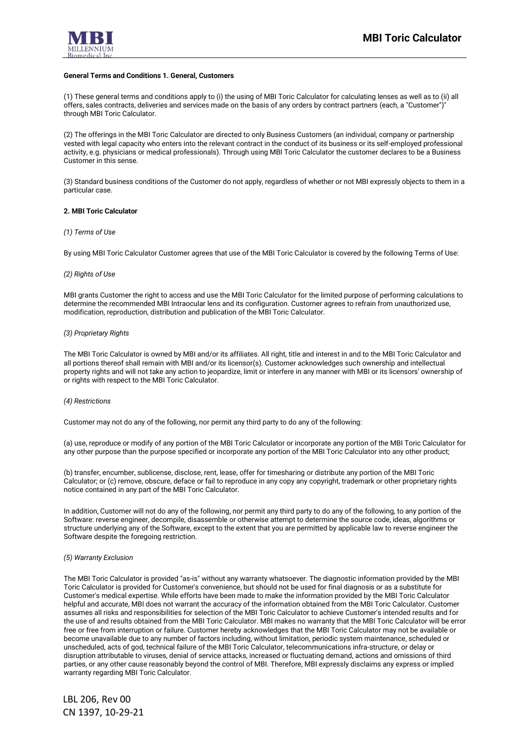

# **General Terms and Conditions 1. General, Customers**

(1) These general terms and conditions apply to (i) the using of MBI Toric Calculator for calculating lenses as well as to (ii) all offers, sales contracts, deliveries and services made on the basis of any orders by contract partners (each, a "Customer")" through MBI Toric Calculator.

(2) The offerings in the MBI Toric Calculator are directed to only Business Customers (an individual, company or partnership vested with legal capacity who enters into the relevant contract in the conduct of its business or its self-employed professional activity, e.g. physicians or medical professionals). Through using MBI Toric Calculator the customer declares to be a Business Customer in this sense.

(3) Standard business conditions of the Customer do not apply, regardless of whether or not MBI expressly objects to them in a particular case.

## **2. MBI Toric Calculator**

### *(1) Terms of Use*

By using MBI Toric Calculator Customer agrees that use of the MBI Toric Calculator is covered by the following Terms of Use:

### *(2) Rights of Use*

MBI grants Customer the right to access and use the MBI Toric Calculator for the limited purpose of performing calculations to determine the recommended MBI Intraocular lens and its configuration. Customer agrees to refrain from unauthorized use, modification, reproduction, distribution and publication of the MBI Toric Calculator.

### *(3) Proprietary Rights*

The MBI Toric Calculator is owned by MBI and/or its affiliates. All right, title and interest in and to the MBI Toric Calculator and all portions thereof shall remain with MBI and/or its licensor(s). Customer acknowledges such ownership and intellectual property rights and will not take any action to jeopardize, limit or interfere in any manner with MBI or its licensors' ownership of or rights with respect to the MBI Toric Calculator.

#### *(4) Restrictions*

Customer may not do any of the following, nor permit any third party to do any of the following:

(a) use, reproduce or modify of any portion of the MBI Toric Calculator or incorporate any portion of the MBI Toric Calculator for any other purpose than the purpose specified or incorporate any portion of the MBI Toric Calculator into any other product;

(b) transfer, encumber, sublicense, disclose, rent, lease, offer for timesharing or distribute any portion of the MBI Toric Calculator; or (c) remove, obscure, deface or fail to reproduce in any copy any copyright, trademark or other proprietary rights notice contained in any part of the MBI Toric Calculator.

In addition, Customer will not do any of the following, nor permit any third party to do any of the following, to any portion of the Software: reverse engineer, decompile, disassemble or otherwise attempt to determine the source code, ideas, algorithms or structure underlying any of the Software, except to the extent that you are permitted by applicable law to reverse engineer the Software despite the foregoing restriction.

#### *(5) Warranty Exclusion*

The MBI Toric Calculator is provided "as-is" without any warranty whatsoever. The diagnostic information provided by the MBI Toric Calculator is provided for Customer's convenience, but should not be used for final diagnosis or as a substitute for Customer's medical expertise. While efforts have been made to make the information provided by the MBI Toric Calculator helpful and accurate, MBI does not warrant the accuracy of the information obtained from the MBI Toric Calculator. Customer assumes all risks and responsibilities for selection of the MBI Toric Calculator to achieve Customer's intended results and for the use of and results obtained from the MBI Toric Calculator. MBI makes no warranty that the MBI Toric Calculator will be error free or free from interruption or failure. Customer hereby acknowledges that the MBI Toric Calculator may not be available or become unavailable due to any number of factors including, without limitation, periodic system maintenance, scheduled or unscheduled, acts of god, technical failure of the MBI Toric Calculator, telecommunications infra-structure, or delay or disruption attributable to viruses, denial of service attacks, increased or fluctuating demand, actions and omissions of third parties, or any other cause reasonably beyond the control of MBI. Therefore, MBI expressly disclaims any express or implied warranty regarding MBI Toric Calculator.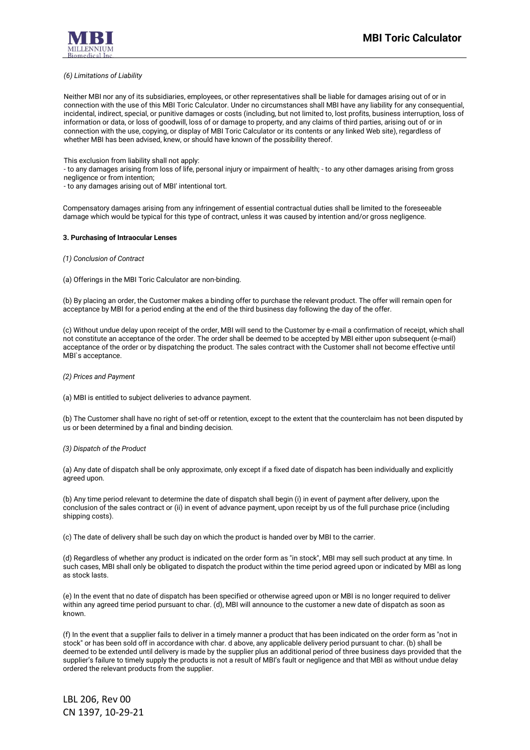## *(6) Limitations of Liability*

Neither MBI nor any of its subsidiaries, employees, or other representatives shall be liable for damages arising out of or in connection with the use of this MBI Toric Calculator. Under no circumstances shall MBI have any liability for any consequential, incidental, indirect, special, or punitive damages or costs (including, but not limited to, lost profits, business interruption, loss of information or data, or loss of goodwill, loss of or damage to property, and any claims of third parties, arising out of or in connection with the use, copying, or display of MBI Toric Calculator or its contents or any linked Web site), regardless of whether MBI has been advised, knew, or should have known of the possibility thereof.

This exclusion from liability shall not apply:

- to any damages arising from loss of life, personal injury or impairment of health; - to any other damages arising from gross negligence or from intention;

- to any damages arising out of MBI' intentional tort.

Compensatory damages arising from any infringement of essential contractual duties shall be limited to the foreseeable damage which would be typical for this type of contract, unless it was caused by intention and/or gross negligence.

### **3. Purchasing of Intraocular Lenses**

*(1) Conclusion of Contract* 

(a) Offerings in the MBI Toric Calculator are non-binding.

(b) By placing an order, the Customer makes a binding offer to purchase the relevant product. The offer will remain open for acceptance by MBI for a period ending at the end of the third business day following the day of the offer.

(c) Without undue delay upon receipt of the order, MBI will send to the Customer by e-mail a confirmation of receipt, which shall not constitute an acceptance of the order. The order shall be deemed to be accepted by MBI either upon subsequent (e-mail) acceptance of the order or by dispatching the product. The sales contract with the Customer shall not become effective until MBI`s acceptance.

*(2) Prices and Payment* 

(a) MBI is entitled to subject deliveries to advance payment.

(b) The Customer shall have no right of set-off or retention, except to the extent that the counterclaim has not been disputed by us or been determined by a final and binding decision.

## *(3) Dispatch of the Product*

(a) Any date of dispatch shall be only approximate, only except if a fixed date of dispatch has been individually and explicitly agreed upon.

(b) Any time period relevant to determine the date of dispatch shall begin (i) in event of payment after delivery, upon the conclusion of the sales contract or (ii) in event of advance payment, upon receipt by us of the full purchase price (including shipping costs).

(c) The date of delivery shall be such day on which the product is handed over by MBI to the carrier.

(d) Regardless of whether any product is indicated on the order form as "in stock", MBI may sell such product at any time. In such cases, MBI shall only be obligated to dispatch the product within the time period agreed upon or indicated by MBI as long as stock lasts.

(e) In the event that no date of dispatch has been specified or otherwise agreed upon or MBI is no longer required to deliver within any agreed time period pursuant to char. (d), MBI will announce to the customer a new date of dispatch as soon as known.

(f) In the event that a supplier fails to deliver in a timely manner a product that has been indicated on the order form as "not in stock" or has been sold off in accordance with char. d above, any applicable delivery period pursuant to char. (b) shall be deemed to be extended until delivery is made by the supplier plus an additional period of three business days provided that the supplier's failure to timely supply the products is not a result of MBI's fault or negligence and that MBI as without undue delay ordered the relevant products from the supplier.

LBL 206, Rev 00 CN 1397, 10-29-21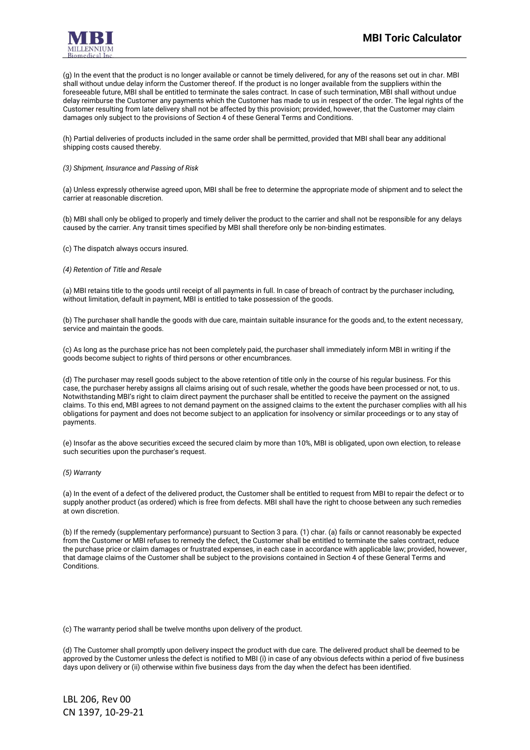

(g) In the event that the product is no longer available or cannot be timely delivered, for any of the reasons set out in char. MBI shall without undue delay inform the Customer thereof. If the product is no longer available from the suppliers within the foreseeable future, MBI shall be entitled to terminate the sales contract. In case of such termination, MBI shall without undue delay reimburse the Customer any payments which the Customer has made to us in respect of the order. The legal rights of the Customer resulting from late delivery shall not be affected by this provision; provided, however, that the Customer may claim damages only subject to the provisions of Section 4 of these General Terms and Conditions.

(h) Partial deliveries of products included in the same order shall be permitted, provided that MBI shall bear any additional shipping costs caused thereby.

### *(3) Shipment, Insurance and Passing of Risk*

(a) Unless expressly otherwise agreed upon, MBI shall be free to determine the appropriate mode of shipment and to select the carrier at reasonable discretion.

(b) MBI shall only be obliged to properly and timely deliver the product to the carrier and shall not be responsible for any delays caused by the carrier. Any transit times specified by MBI shall therefore only be non-binding estimates.

(c) The dispatch always occurs insured.

## *(4) Retention of Title and Resale*

(a) MBI retains title to the goods until receipt of all payments in full. In case of breach of contract by the purchaser including, without limitation, default in payment, MBI is entitled to take possession of the goods.

(b) The purchaser shall handle the goods with due care, maintain suitable insurance for the goods and, to the extent necessary, service and maintain the goods.

(c) As long as the purchase price has not been completely paid, the purchaser shall immediately inform MBI in writing if the goods become subject to rights of third persons or other encumbrances.

(d) The purchaser may resell goods subject to the above retention of title only in the course of his regular business. For this case, the purchaser hereby assigns all claims arising out of such resale, whether the goods have been processed or not, to us. Notwithstanding MBI's right to claim direct payment the purchaser shall be entitled to receive the payment on the assigned claims. To this end, MBI agrees to not demand payment on the assigned claims to the extent the purchaser complies with all his obligations for payment and does not become subject to an application for insolvency or similar proceedings or to any stay of payments.

(e) Insofar as the above securities exceed the secured claim by more than 10%, MBI is obligated, upon own election, to release such securities upon the purchaser's request.

## *(5) Warranty*

(a) In the event of a defect of the delivered product, the Customer shall be entitled to request from MBI to repair the defect or to supply another product (as ordered) which is free from defects. MBI shall have the right to choose between any such remedies at own discretion.

(b) If the remedy (supplementary performance) pursuant to Section 3 para. (1) char. (a) fails or cannot reasonably be expected from the Customer or MBI refuses to remedy the defect, the Customer shall be entitled to terminate the sales contract, reduce the purchase price or claim damages or frustrated expenses, in each case in accordance with applicable law; provided, however, that damage claims of the Customer shall be subject to the provisions contained in Section 4 of these General Terms and Conditions.

(c) The warranty period shall be twelve months upon delivery of the product.

(d) The Customer shall promptly upon delivery inspect the product with due care. The delivered product shall be deemed to be approved by the Customer unless the defect is notified to MBI (i) in case of any obvious defects within a period of five business days upon delivery or (ii) otherwise within five business days from the day when the defect has been identified.